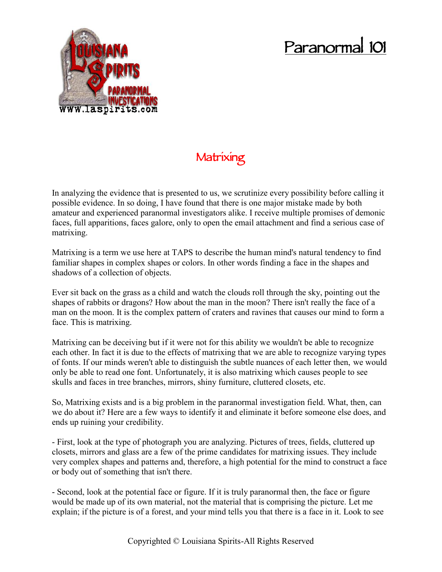## **Paranormal 101**



## **Matrixing**

In analyzing the evidence that is presented to us, we scrutinize every possibility before calling it possible evidence. In so doing, I have found that there is one major mistake made by both amateur and experienced paranormal investigators alike. I receive multiple promises of demonic faces, full apparitions, faces galore, only to open the email attachment and find a serious case of matrixing.

Matrixing is a term we use here at TAPS to describe the human mind's natural tendency to find familiar shapes in complex shapes or colors. In other words finding a face in the shapes and shadows of a collection of objects.

Ever sit back on the grass as a child and watch the clouds roll through the sky, pointing out the shapes of rabbits or dragons? How about the man in the moon? There isn't really the face of a man on the moon. It is the complex pattern of craters and ravines that causes our mind to form a face. This is matrixing.

Matrixing can be deceiving but if it were not for this ability we wouldn't be able to recognize each other. In fact it is due to the effects of matrixing that we are able to recognize varying types of fonts. If our minds weren't able to distinguish the subtle nuances of each letter then, we would only be able to read one font. Unfortunately, it is also matrixing which causes people to see skulls and faces in tree branches, mirrors, shiny furniture, cluttered closets, etc.

So, Matrixing exists and is a big problem in the paranormal investigation field. What, then, can we do about it? Here are a few ways to identify it and eliminate it before someone else does, and ends up ruining your credibility.

- First, look at the type of photograph you are analyzing. Pictures of trees, fields, cluttered up closets, mirrors and glass are a few of the prime candidates for matrixing issues. They include very complex shapes and patterns and, therefore, a high potential for the mind to construct a face or body out of something that isn't there.

- Second, look at the potential face or figure. If it is truly paranormal then, the face or figure would be made up of its own material, not the material that is comprising the picture. Let me explain; if the picture is of a forest, and your mind tells you that there is a face in it. Look to see